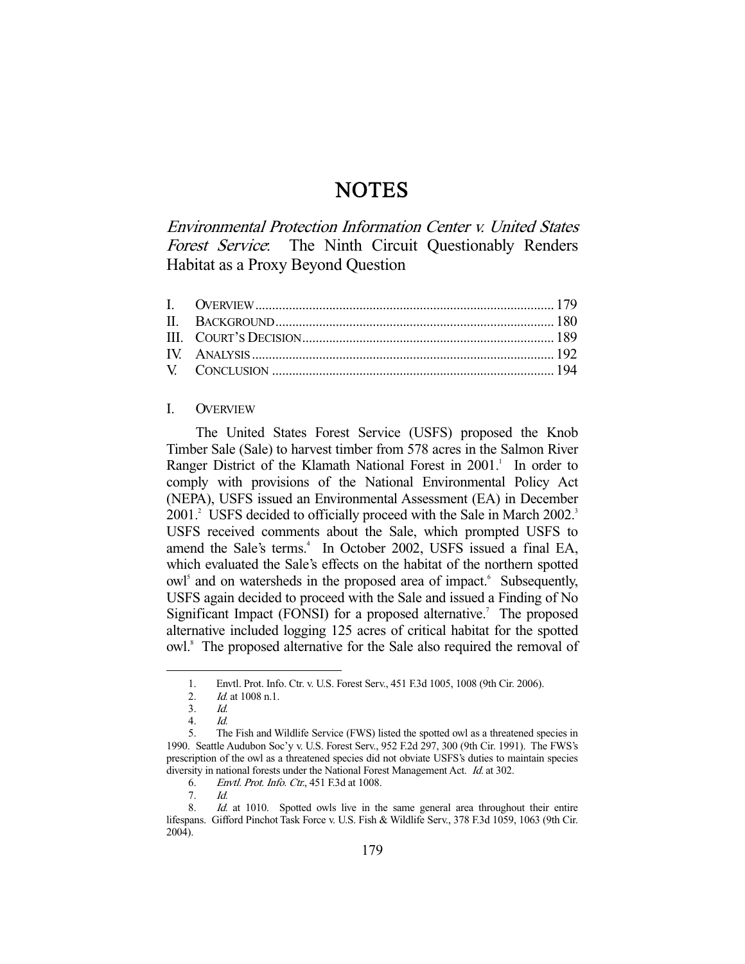# **NOTES**

Environmental Protection Information Center v. United States Forest Service: The Ninth Circuit Questionably Renders Habitat as a Proxy Beyond Question

## I. OVERVIEW

 The United States Forest Service (USFS) proposed the Knob Timber Sale (Sale) to harvest timber from 578 acres in the Salmon River Ranger District of the Klamath National Forest in 2001.<sup>1</sup> In order to comply with provisions of the National Environmental Policy Act (NEPA), USFS issued an Environmental Assessment (EA) in December 2001.<sup>2</sup> USFS decided to officially proceed with the Sale in March 2002.<sup>3</sup> USFS received comments about the Sale, which prompted USFS to amend the Sale's terms.<sup>4</sup> In October 2002, USFS issued a final EA, which evaluated the Sale's effects on the habitat of the northern spotted owl<sup>5</sup> and on watersheds in the proposed area of impact.<sup>6</sup> Subsequently, USFS again decided to proceed with the Sale and issued a Finding of No Significant Impact (FONSI) for a proposed alternative.<sup>7</sup> The proposed alternative included logging 125 acres of critical habitat for the spotted owl.<sup>8</sup> The proposed alternative for the Sale also required the removal of

-

6. Envtl. Prot. Info. Ctr., 451 F.3d at 1008.

 <sup>1.</sup> Envtl. Prot. Info. Ctr. v. U.S. Forest Serv., 451 F.3d 1005, 1008 (9th Cir. 2006).

<sup>2.</sup> *Id.* at 1008 n.1.

<sup>3.</sup>  $\frac{Id}{4}$ 

Id.

 <sup>5.</sup> The Fish and Wildlife Service (FWS) listed the spotted owl as a threatened species in 1990. Seattle Audubon Soc'y v. U.S. Forest Serv., 952 F.2d 297, 300 (9th Cir. 1991). The FWS's prescription of the owl as a threatened species did not obviate USFS's duties to maintain species diversity in national forests under the National Forest Management Act. Id. at 302.

 <sup>7.</sup> Id.

<sup>8.</sup> Id. at 1010. Spotted owls live in the same general area throughout their entire lifespans. Gifford Pinchot Task Force v. U.S. Fish & Wildlife Serv., 378 F.3d 1059, 1063 (9th Cir. 2004).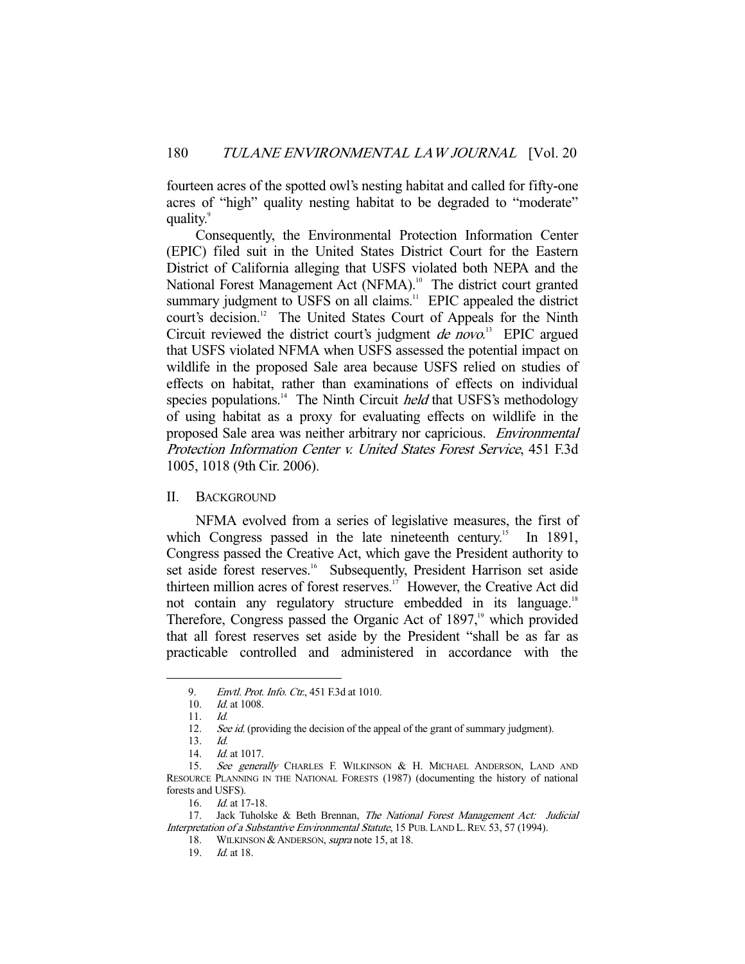fourteen acres of the spotted owl's nesting habitat and called for fifty-one acres of "high" quality nesting habitat to be degraded to "moderate" quality.<sup>9</sup>

 Consequently, the Environmental Protection Information Center (EPIC) filed suit in the United States District Court for the Eastern District of California alleging that USFS violated both NEPA and the National Forest Management Act (NFMA).<sup>10</sup> The district court granted summary judgment to USFS on all claims.<sup>11</sup> EPIC appealed the district court's decision.<sup>12</sup> The United States Court of Appeals for the Ninth Circuit reviewed the district court's judgment *de novo*.<sup>13</sup> EPIC argued that USFS violated NFMA when USFS assessed the potential impact on wildlife in the proposed Sale area because USFS relied on studies of effects on habitat, rather than examinations of effects on individual species populations.<sup>14</sup> The Ninth Circuit *held* that USFS's methodology of using habitat as a proxy for evaluating effects on wildlife in the proposed Sale area was neither arbitrary nor capricious. Environmental Protection Information Center v. United States Forest Service, 451 F.3d 1005, 1018 (9th Cir. 2006).

#### II. BACKGROUND

 NFMA evolved from a series of legislative measures, the first of which Congress passed in the late nineteenth century.<sup>15</sup> In 1891, Congress passed the Creative Act, which gave the President authority to set aside forest reserves.<sup>16</sup> Subsequently, President Harrison set aside thirteen million acres of forest reserves.<sup>17</sup> However, the Creative Act did not contain any regulatory structure embedded in its language.<sup>18</sup> Therefore, Congress passed the Organic Act of  $1897<sup>19</sup>$ , which provided that all forest reserves set aside by the President "shall be as far as practicable controlled and administered in accordance with the

<sup>9.</sup> *Envtl. Prot. Info. Ctr.*, 451 F.3d at 1010.

 <sup>10.</sup> Id. at 1008.

 <sup>11.</sup> Id.

<sup>12.</sup> See id. (providing the decision of the appeal of the grant of summary judgment).

 <sup>13.</sup> Id.

<sup>14.</sup> *Id.* at 1017.

<sup>15.</sup> See generally CHARLES F. WILKINSON & H. MICHAEL ANDERSON, LAND AND RESOURCE PLANNING IN THE NATIONAL FORESTS (1987) (documenting the history of national forests and USFS).

 <sup>16.</sup> Id. at 17-18.

<sup>17.</sup> Jack Tuholske & Beth Brennan, The National Forest Management Act: Judicial Interpretation of a Substantive Environmental Statute, 15 PUB. LAND L. REV. 53, 57 (1994).

<sup>18.</sup> WILKINSON & ANDERSON, *supra* note 15, at 18.

 <sup>19.</sup> Id. at 18.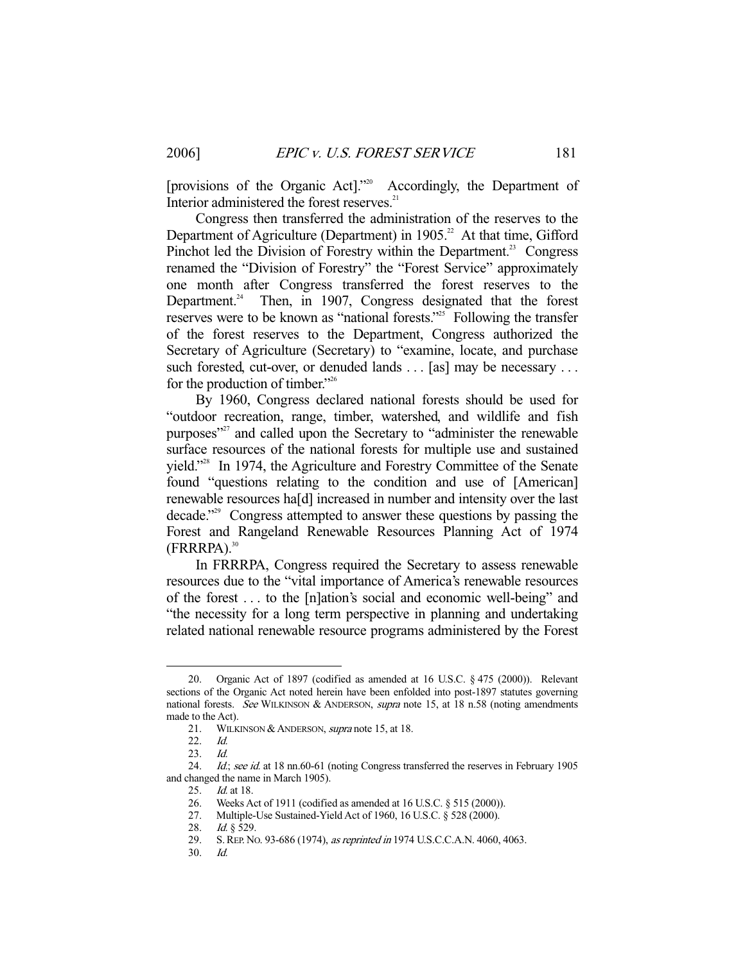[provisions of the Organic Act]."20 Accordingly, the Department of Interior administered the forest reserves.<sup>21</sup>

 Congress then transferred the administration of the reserves to the Department of Agriculture (Department) in 1905.<sup>22</sup> At that time, Gifford Pinchot led the Division of Forestry within the Department.<sup>23</sup> Congress renamed the "Division of Forestry" the "Forest Service" approximately one month after Congress transferred the forest reserves to the Department.<sup>24</sup> Then, in 1907, Congress designated that the forest reserves were to be known as "national forests."<sup>25</sup> Following the transfer of the forest reserves to the Department, Congress authorized the Secretary of Agriculture (Secretary) to "examine, locate, and purchase such forested, cut-over, or denuded lands . . . [as] may be necessary . . . for the production of timber."<sup>26</sup>

 By 1960, Congress declared national forests should be used for "outdoor recreation, range, timber, watershed, and wildlife and fish purposes"27 and called upon the Secretary to "administer the renewable surface resources of the national forests for multiple use and sustained yield."<sup>28</sup> In 1974, the Agriculture and Forestry Committee of the Senate found "questions relating to the condition and use of [American] renewable resources ha[d] increased in number and intensity over the last decade."29 Congress attempted to answer these questions by passing the Forest and Rangeland Renewable Resources Planning Act of 1974  $(FRRRPA).$ <sup>30</sup>

 In FRRRPA, Congress required the Secretary to assess renewable resources due to the "vital importance of America's renewable resources of the forest . . . to the [n]ation's social and economic well-being" and "the necessity for a long term perspective in planning and undertaking related national renewable resource programs administered by the Forest

 <sup>20.</sup> Organic Act of 1897 (codified as amended at 16 U.S.C. § 475 (2000)). Relevant sections of the Organic Act noted herein have been enfolded into post-1897 statutes governing national forests. See WILKINSON & ANDERSON, supra note 15, at 18 n.58 (noting amendments made to the Act).

<sup>21.</sup> WILKINSON & ANDERSON, *supra* note 15, at 18.

 <sup>22.</sup> Id.

<sup>23.</sup> *Id.*<br>24. *Id.* 

Id.; see id. at 18 nn.60-61 (noting Congress transferred the reserves in February 1905 and changed the name in March 1905).<br>25. Id. at 18.

*Id.* at 18.

 <sup>26.</sup> Weeks Act of 1911 (codified as amended at 16 U.S.C. § 515 (2000)).

 <sup>27.</sup> Multiple-Use Sustained-Yield Act of 1960, 16 U.S.C. § 528 (2000).

<sup>28.</sup> *Id.*  $\frac{1}{2}$  529.

 <sup>29.</sup> S.REP. NO. 93-686 (1974), as reprinted in 1974 U.S.C.C.A.N. 4060, 4063.

 <sup>30.</sup> Id.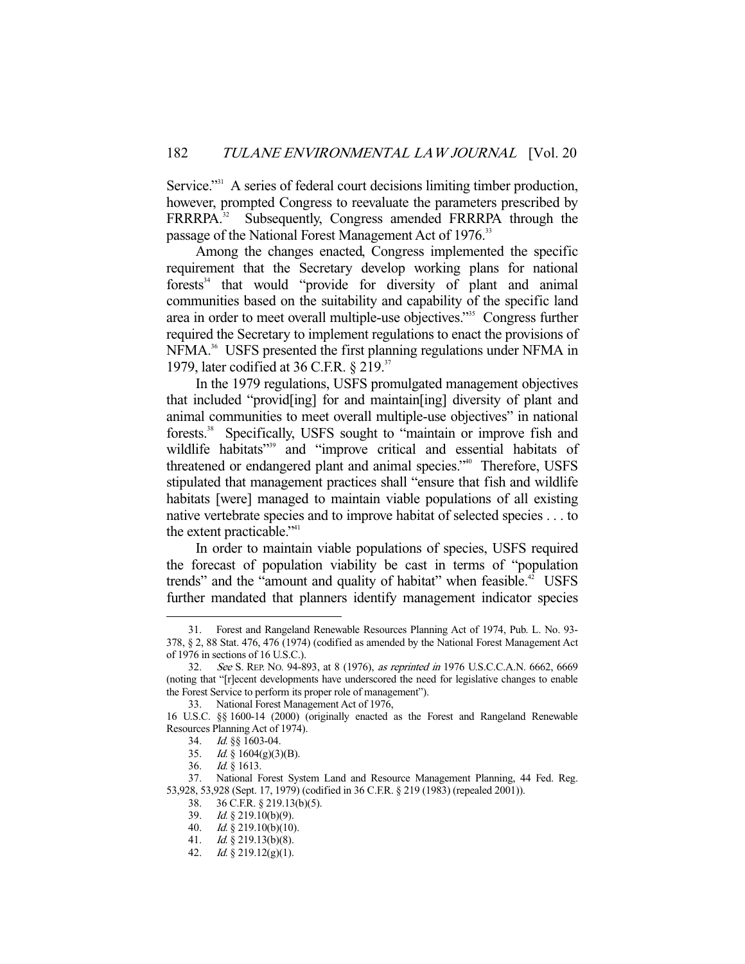Service."<sup>31</sup> A series of federal court decisions limiting timber production, however, prompted Congress to reevaluate the parameters prescribed by FRRRPA.<sup>32</sup> Subsequently, Congress amended FRRRPA through the passage of the National Forest Management Act of 1976.<sup>33</sup>

 Among the changes enacted, Congress implemented the specific requirement that the Secretary develop working plans for national forests $34$  that would "provide for diversity of plant and animal communities based on the suitability and capability of the specific land area in order to meet overall multiple-use objectives."35 Congress further required the Secretary to implement regulations to enact the provisions of NFMA.<sup>36</sup> USFS presented the first planning regulations under NFMA in 1979, later codified at 36 C.F.R. § 219.<sup>37</sup>

 In the 1979 regulations, USFS promulgated management objectives that included "provid[ing] for and maintain[ing] diversity of plant and animal communities to meet overall multiple-use objectives" in national forests.<sup>38</sup> Specifically, USFS sought to "maintain or improve fish and wildlife habitats"<sup>39</sup> and "improve critical and essential habitats of threatened or endangered plant and animal species."<sup>40</sup> Therefore, USFS stipulated that management practices shall "ensure that fish and wildlife habitats [were] managed to maintain viable populations of all existing native vertebrate species and to improve habitat of selected species . . . to the extent practicable."<sup>41</sup>

 In order to maintain viable populations of species, USFS required the forecast of population viability be cast in terms of "population trends" and the "amount and quality of habitat" when feasible.<sup>42</sup> USFS further mandated that planners identify management indicator species

 <sup>31.</sup> Forest and Rangeland Renewable Resources Planning Act of 1974, Pub. L. No. 93- 378, § 2, 88 Stat. 476, 476 (1974) (codified as amended by the National Forest Management Act of 1976 in sections of 16 U.S.C.).

 <sup>32.</sup> See S. REP. NO. 94-893, at 8 (1976), as reprinted in 1976 U.S.C.C.A.N. 6662, 6669 (noting that "[r]ecent developments have underscored the need for legislative changes to enable the Forest Service to perform its proper role of management").

 <sup>33.</sup> National Forest Management Act of 1976,

<sup>16</sup> U.S.C. §§ 1600-14 (2000) (originally enacted as the Forest and Rangeland Renewable Resources Planning Act of 1974).

 <sup>34.</sup> Id. §§ 1603-04.

 <sup>35.</sup> Id. § 1604(g)(3)(B).

 <sup>36.</sup> Id. § 1613.

 <sup>37.</sup> National Forest System Land and Resource Management Planning, 44 Fed. Reg. 53,928, 53,928 (Sept. 17, 1979) (codified in 36 C.F.R. § 219 (1983) (repealed 2001)).

 <sup>38. 36</sup> C.F.R. § 219.13(b)(5).

<sup>39.</sup> Id.  $\frac{39}{4}$  219.10(b)(9).

<sup>40.</sup> Id.  $\S$  219.10(b)(10).

<sup>41.</sup> *Id.* § 219.13(b)(8).

 <sup>42.</sup> Id. § 219.12(g)(1).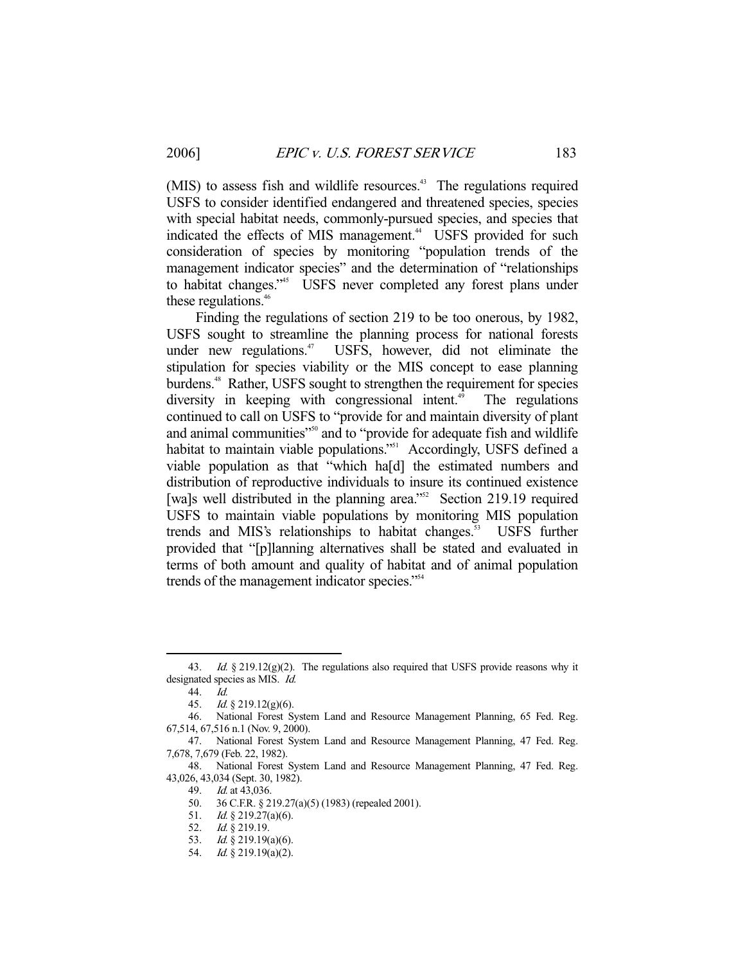(MIS) to assess fish and wildlife resources.<sup>43</sup> The regulations required USFS to consider identified endangered and threatened species, species with special habitat needs, commonly-pursued species, and species that indicated the effects of MIS management.<sup>44</sup> USFS provided for such consideration of species by monitoring "population trends of the management indicator species" and the determination of "relationships to habitat changes."<sup>45</sup> USFS never completed any forest plans under these regulations.<sup>46</sup>

 Finding the regulations of section 219 to be too onerous, by 1982, USFS sought to streamline the planning process for national forests under new regulations. $47$  USFS, however, did not eliminate the stipulation for species viability or the MIS concept to ease planning burdens.<sup>48</sup> Rather, USFS sought to strengthen the requirement for species diversity in keeping with congressional intent.<sup> $49$ </sup> The regulations continued to call on USFS to "provide for and maintain diversity of plant and animal communities"<sup>50</sup> and to "provide for adequate fish and wildlife" habitat to maintain viable populations."<sup>51</sup> Accordingly, USFS defined a viable population as that "which ha[d] the estimated numbers and distribution of reproductive individuals to insure its continued existence [wa]s well distributed in the planning area."<sup>52</sup> Section 219.19 required USFS to maintain viable populations by monitoring MIS population trends and MIS's relationships to habitat changes.<sup>53</sup> USFS further provided that "[p]lanning alternatives shall be stated and evaluated in terms of both amount and quality of habitat and of animal population trends of the management indicator species."<sup>54</sup>

<sup>43.</sup> Id.  $§$  219.12(g)(2). The regulations also required that USFS provide reasons why it designated species as MIS. Id.

 <sup>44.</sup> Id.

 <sup>45.</sup> Id. § 219.12(g)(6).

 <sup>46.</sup> National Forest System Land and Resource Management Planning, 65 Fed. Reg. 67,514, 67,516 n.1 (Nov. 9, 2000).

 <sup>47.</sup> National Forest System Land and Resource Management Planning, 47 Fed. Reg. 7,678, 7,679 (Feb. 22, 1982).

 <sup>48.</sup> National Forest System Land and Resource Management Planning, 47 Fed. Reg. 43,026, 43,034 (Sept. 30, 1982).

 <sup>49.</sup> Id. at 43,036.

 <sup>50. 36</sup> C.F.R. § 219.27(a)(5) (1983) (repealed 2001).

<sup>51.</sup> *Id.* § 219.27(a)(6).

<sup>52.</sup> *Id.* § 219.19.

 <sup>53.</sup> Id. § 219.19(a)(6).

 <sup>54.</sup> Id. § 219.19(a)(2).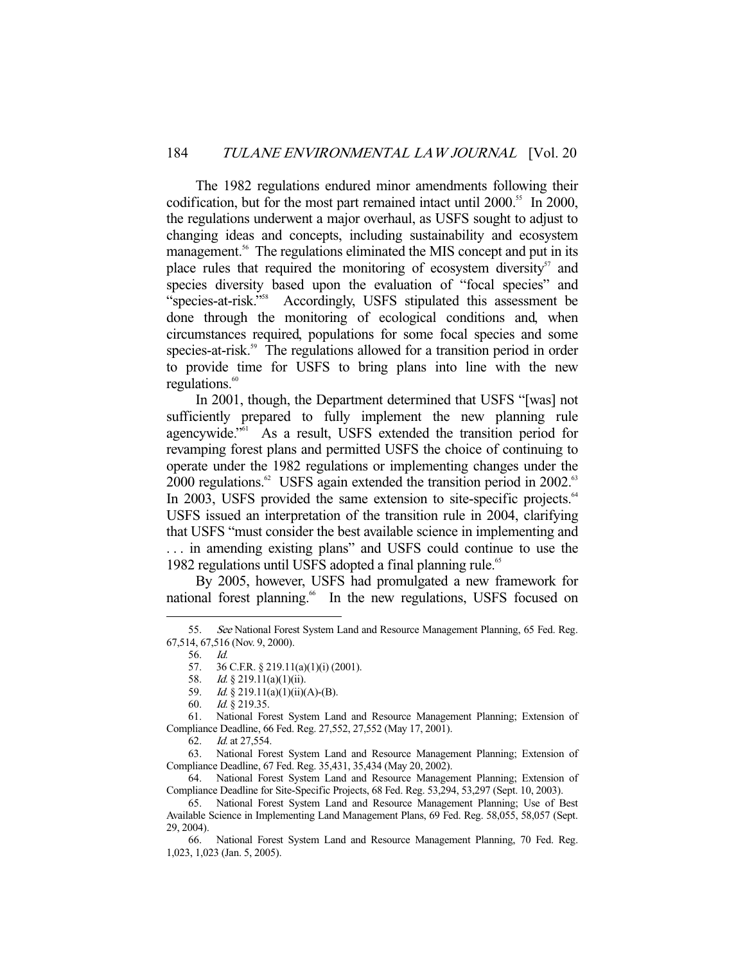The 1982 regulations endured minor amendments following their codification, but for the most part remained intact until 2000.<sup>55</sup> In 2000, the regulations underwent a major overhaul, as USFS sought to adjust to changing ideas and concepts, including sustainability and ecosystem management.<sup>56</sup> The regulations eliminated the MIS concept and put in its place rules that required the monitoring of ecosystem diversity $57$  and species diversity based upon the evaluation of "focal species" and "species-at-risk."58 Accordingly, USFS stipulated this assessment be done through the monitoring of ecological conditions and, when circumstances required, populations for some focal species and some species-at-risk.<sup>59</sup> The regulations allowed for a transition period in order to provide time for USFS to bring plans into line with the new regulations. $60$ 

 In 2001, though, the Department determined that USFS "[was] not sufficiently prepared to fully implement the new planning rule agencywide."61 As a result, USFS extended the transition period for revamping forest plans and permitted USFS the choice of continuing to operate under the 1982 regulations or implementing changes under the 2000 regulations. $62$  USFS again extended the transition period in 2002. $63$ In 2003, USFS provided the same extension to site-specific projects.<sup>64</sup> USFS issued an interpretation of the transition rule in 2004, clarifying that USFS "must consider the best available science in implementing and . . . in amending existing plans" and USFS could continue to use the 1982 regulations until USFS adopted a final planning rule.<sup>65</sup>

 By 2005, however, USFS had promulgated a new framework for national forest planning.<sup>66</sup> In the new regulations, USFS focused on

 <sup>55.</sup> See National Forest System Land and Resource Management Planning, 65 Fed. Reg. 67,514, 67,516 (Nov. 9, 2000).

 <sup>56.</sup> Id.

 <sup>57. 36</sup> C.F.R. § 219.11(a)(1)(i) (2001).

 <sup>58.</sup> Id. § 219.11(a)(1)(ii).

<sup>59.</sup> *Id.* § 219.11(a)(1)(ii)(A)-(B).

 <sup>60.</sup> Id. § 219.35.

 <sup>61.</sup> National Forest System Land and Resource Management Planning; Extension of Compliance Deadline, 66 Fed. Reg. 27,552, 27,552 (May 17, 2001).

 <sup>62.</sup> Id. at 27,554.

 <sup>63.</sup> National Forest System Land and Resource Management Planning; Extension of Compliance Deadline, 67 Fed. Reg. 35,431, 35,434 (May 20, 2002).

 <sup>64.</sup> National Forest System Land and Resource Management Planning; Extension of Compliance Deadline for Site-Specific Projects, 68 Fed. Reg. 53,294, 53,297 (Sept. 10, 2003).

 <sup>65.</sup> National Forest System Land and Resource Management Planning; Use of Best Available Science in Implementing Land Management Plans, 69 Fed. Reg. 58,055, 58,057 (Sept. 29, 2004).

 <sup>66.</sup> National Forest System Land and Resource Management Planning, 70 Fed. Reg. 1,023, 1,023 (Jan. 5, 2005).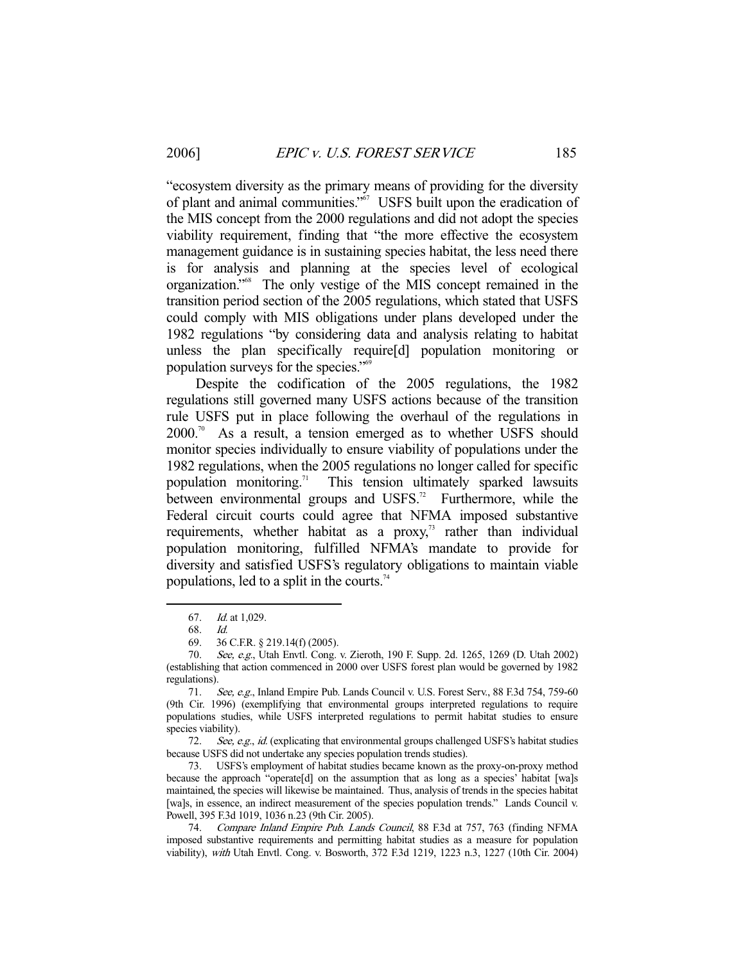"ecosystem diversity as the primary means of providing for the diversity of plant and animal communities."67 USFS built upon the eradication of the MIS concept from the 2000 regulations and did not adopt the species viability requirement, finding that "the more effective the ecosystem management guidance is in sustaining species habitat, the less need there is for analysis and planning at the species level of ecological organization."68 The only vestige of the MIS concept remained in the transition period section of the 2005 regulations, which stated that USFS could comply with MIS obligations under plans developed under the 1982 regulations "by considering data and analysis relating to habitat unless the plan specifically require[d] population monitoring or population surveys for the species."69

 Despite the codification of the 2005 regulations, the 1982 regulations still governed many USFS actions because of the transition rule USFS put in place following the overhaul of the regulations in  $2000$ .<sup>70</sup> As a result, a tension emerged as to whether USFS should monitor species individually to ensure viability of populations under the 1982 regulations, when the 2005 regulations no longer called for specific population monitoring.<sup>71</sup> This tension ultimately sparked lawsuits between environmental groups and USFS.<sup>72</sup> Furthermore, while the Federal circuit courts could agree that NFMA imposed substantive requirements, whether habitat as a proxy, $\frac{1}{3}$  rather than individual population monitoring, fulfilled NFMA's mandate to provide for diversity and satisfied USFS's regulatory obligations to maintain viable populations, led to a split in the courts.<sup>74</sup>

-

72. See, e.g., id. (explicating that environmental groups challenged USFS's habitat studies because USFS did not undertake any species population trends studies).

 73. USFS's employment of habitat studies became known as the proxy-on-proxy method because the approach "operate[d] on the assumption that as long as a species' habitat [wa]s maintained, the species will likewise be maintained. Thus, analysis of trends in the species habitat [wa]s, in essence, an indirect measurement of the species population trends." Lands Council v. Powell, 395 F.3d 1019, 1036 n.23 (9th Cir. 2005).

74. Compare Inland Empire Pub. Lands Council, 88 F.3d at 757, 763 (finding NFMA imposed substantive requirements and permitting habitat studies as a measure for population viability), with Utah Envtl. Cong. v. Bosworth, 372 F.3d 1219, 1223 n.3, 1227 (10th Cir. 2004)

 <sup>67.</sup> Id. at 1,029.

 <sup>68.</sup> Id.

 <sup>69. 36</sup> C.F.R. § 219.14(f) (2005).

<sup>70.</sup> See, e.g., Utah Envtl. Cong. v. Zieroth, 190 F. Supp. 2d. 1265, 1269 (D. Utah 2002) (establishing that action commenced in 2000 over USFS forest plan would be governed by 1982 regulations).

 <sup>71.</sup> See, e.g., Inland Empire Pub. Lands Council v. U.S. Forest Serv., 88 F.3d 754, 759-60 (9th Cir. 1996) (exemplifying that environmental groups interpreted regulations to require populations studies, while USFS interpreted regulations to permit habitat studies to ensure species viability).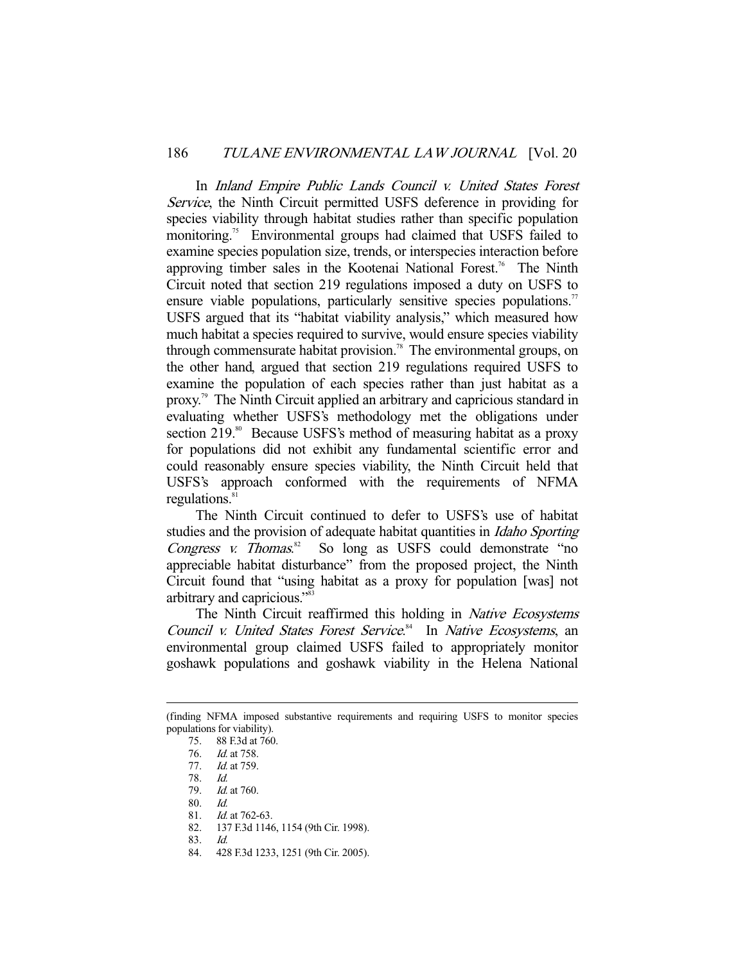In Inland Empire Public Lands Council v. United States Forest Service, the Ninth Circuit permitted USFS deference in providing for species viability through habitat studies rather than specific population monitoring.<sup>75</sup> Environmental groups had claimed that USFS failed to examine species population size, trends, or interspecies interaction before approving timber sales in the Kootenai National Forest.<sup>76</sup> The Ninth Circuit noted that section 219 regulations imposed a duty on USFS to ensure viable populations, particularly sensitive species populations.<sup>77</sup> USFS argued that its "habitat viability analysis," which measured how much habitat a species required to survive, would ensure species viability through commensurate habitat provision.<sup>78</sup> The environmental groups, on the other hand, argued that section 219 regulations required USFS to examine the population of each species rather than just habitat as a proxy.79 The Ninth Circuit applied an arbitrary and capricious standard in evaluating whether USFS's methodology met the obligations under section 219.<sup>80</sup> Because USFS's method of measuring habitat as a proxy for populations did not exhibit any fundamental scientific error and could reasonably ensure species viability, the Ninth Circuit held that USFS's approach conformed with the requirements of NFMA regulations.<sup>8</sup>

 The Ninth Circuit continued to defer to USFS's use of habitat studies and the provision of adequate habitat quantities in *Idaho Sporting* Congress *v.* Thomas.<sup>82</sup> So long as USFS could demonstrate "no appreciable habitat disturbance" from the proposed project, the Ninth Circuit found that "using habitat as a proxy for population [was] not arbitrary and capricious."83

The Ninth Circuit reaffirmed this holding in *Native Ecosystems* Council v. United States Forest Service.<sup>84</sup> In Native Ecosystems, an environmental group claimed USFS failed to appropriately monitor goshawk populations and goshawk viability in the Helena National

80. Id.

-

82. 137 F.3d 1146, 1154 (9th Cir. 1998).

84. 428 F.3d 1233, 1251 (9th Cir. 2005).

<sup>(</sup>finding NFMA imposed substantive requirements and requiring USFS to monitor species populations for viability).

 <sup>75. 88</sup> F.3d at 760.

 <sup>76.</sup> Id. at 758.

 <sup>77.</sup> Id. at 759.

 <sup>78.</sup> Id.

Id. at 760.

 <sup>81.</sup> Id. at 762-63.

 <sup>83.</sup> Id.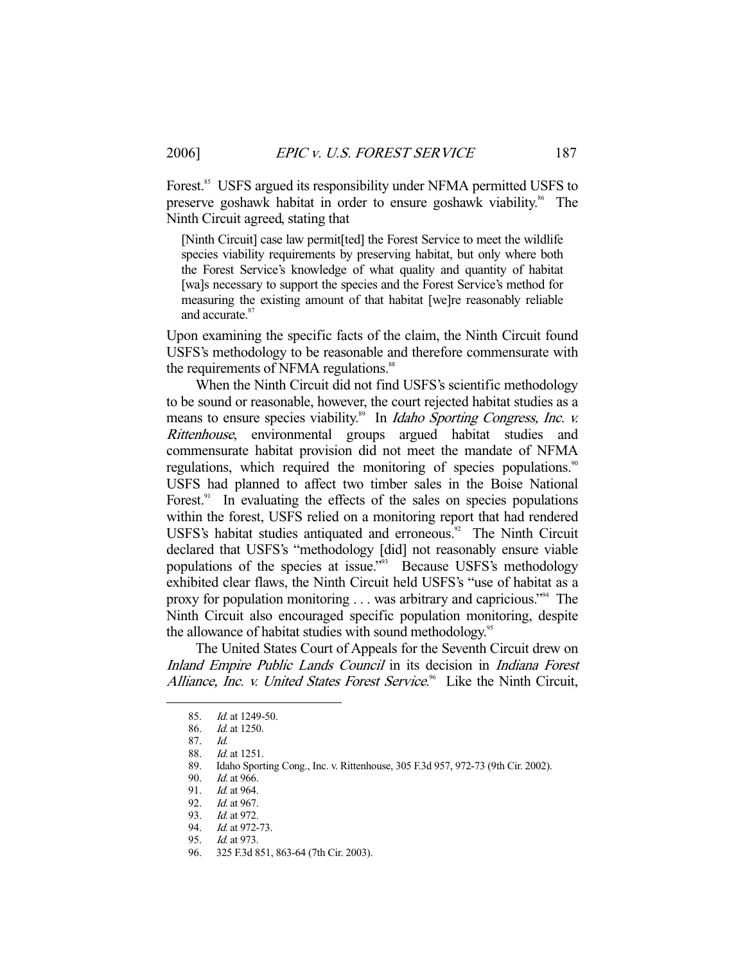Forest.<sup>85</sup> USFS argued its responsibility under NFMA permitted USFS to preserve goshawk habitat in order to ensure goshawk viability.<sup>86</sup> The Ninth Circuit agreed, stating that

[Ninth Circuit] case law permit[ted] the Forest Service to meet the wildlife species viability requirements by preserving habitat, but only where both the Forest Service's knowledge of what quality and quantity of habitat [wa]s necessary to support the species and the Forest Service's method for measuring the existing amount of that habitat [we]re reasonably reliable and accurate.<sup>8</sup>

Upon examining the specific facts of the claim, the Ninth Circuit found USFS's methodology to be reasonable and therefore commensurate with the requirements of NFMA regulations.<sup>88</sup>

 When the Ninth Circuit did not find USFS's scientific methodology to be sound or reasonable, however, the court rejected habitat studies as a means to ensure species viability.<sup>89</sup> In *Idaho Sporting Congress, Inc. v.* Rittenhouse, environmental groups argued habitat studies and commensurate habitat provision did not meet the mandate of NFMA regulations, which required the monitoring of species populations.<sup>90</sup> USFS had planned to affect two timber sales in the Boise National Forest.<sup>91</sup> In evaluating the effects of the sales on species populations within the forest, USFS relied on a monitoring report that had rendered USFS's habitat studies antiquated and erroneous.<sup>92</sup> The Ninth Circuit declared that USFS's "methodology [did] not reasonably ensure viable populations of the species at issue."<sup>93</sup> Because USFS's methodology exhibited clear flaws, the Ninth Circuit held USFS's "use of habitat as a proxy for population monitoring . . . was arbitrary and capricious."94 The Ninth Circuit also encouraged specific population monitoring, despite the allowance of habitat studies with sound methodology.<sup>95</sup>

 The United States Court of Appeals for the Seventh Circuit drew on Inland Empire Public Lands Council in its decision in Indiana Forest Alliance, Inc. v. United States Forest Service.<sup>96</sup> Like the Ninth Circuit,

-

96. 325 F.3d 851, 863-64 (7th Cir. 2003).

 <sup>85.</sup> Id. at 1249-50.

 <sup>86.</sup> Id. at 1250.

 <sup>87.</sup> Id.

 <sup>88.</sup> Id. at 1251.

 <sup>89.</sup> Idaho Sporting Cong., Inc. v. Rittenhouse, 305 F.3d 957, 972-73 (9th Cir. 2002).

<sup>90.</sup> *Id.* at 966.<br>91. *Id.* at 964.

*Id.* at 964.

<sup>92.</sup> *Id.* at 967.

<sup>93.</sup> *Id.* at 972.

<sup>94.</sup> Id. at 972-73.

 <sup>95.</sup> Id. at 973.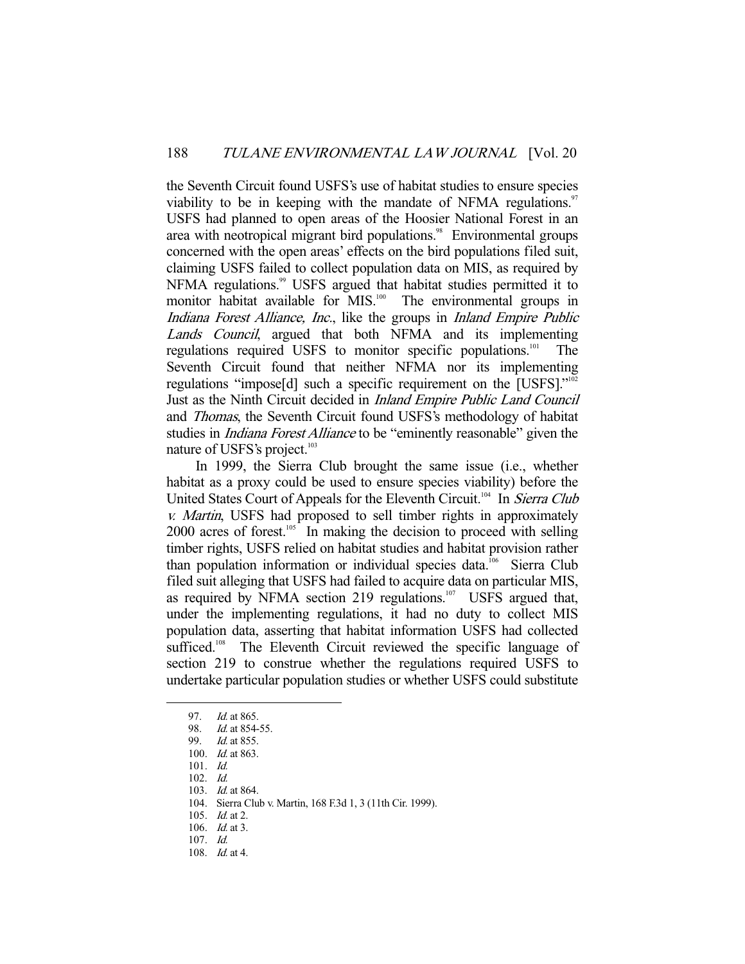the Seventh Circuit found USFS's use of habitat studies to ensure species viability to be in keeping with the mandate of NFMA regulations. $\frac{97}{2}$ USFS had planned to open areas of the Hoosier National Forest in an area with neotropical migrant bird populations.<sup>98</sup> Environmental groups concerned with the open areas' effects on the bird populations filed suit, claiming USFS failed to collect population data on MIS, as required by NFMA regulations.<sup>99</sup> USFS argued that habitat studies permitted it to monitor habitat available for MIS.<sup>100</sup> The environmental groups in Indiana Forest Alliance, Inc., like the groups in Inland Empire Public Lands Council, argued that both NFMA and its implementing regulations required USFS to monitor specific populations.101 The Seventh Circuit found that neither NFMA nor its implementing regulations "impose[d] such a specific requirement on the [USFS]."102 Just as the Ninth Circuit decided in Inland Empire Public Land Council and Thomas, the Seventh Circuit found USFS's methodology of habitat studies in *Indiana Forest Alliance* to be "eminently reasonable" given the nature of USFS's project.<sup>103</sup>

 In 1999, the Sierra Club brought the same issue (i.e., whether habitat as a proxy could be used to ensure species viability) before the United States Court of Appeals for the Eleventh Circuit.<sup>104</sup> In Sierra Club v. Martin, USFS had proposed to sell timber rights in approximately 2000 acres of forest.<sup>105</sup> In making the decision to proceed with selling timber rights, USFS relied on habitat studies and habitat provision rather than population information or individual species data.<sup>106</sup> Sierra Club filed suit alleging that USFS had failed to acquire data on particular MIS, as required by NFMA section 219 regulations.<sup>107</sup> USFS argued that, under the implementing regulations, it had no duty to collect MIS population data, asserting that habitat information USFS had collected sufficed.<sup>108</sup> The Eleventh Circuit reviewed the specific language of section 219 to construe whether the regulations required USFS to undertake particular population studies or whether USFS could substitute

-

108. Id. at 4.

<sup>97.</sup> *Id.* at 865.

<sup>98.</sup> *Id.* at 854-55.<br>99. *Id.* at 855.

Id. at 855.

 <sup>100.</sup> Id. at 863.

 <sup>101.</sup> Id.

 <sup>102.</sup> Id.

 <sup>103.</sup> Id. at 864.

 <sup>104.</sup> Sierra Club v. Martin, 168 F.3d 1, 3 (11th Cir. 1999).

 <sup>105.</sup> Id. at 2.

 <sup>106.</sup> Id. at 3.

 <sup>107.</sup> Id.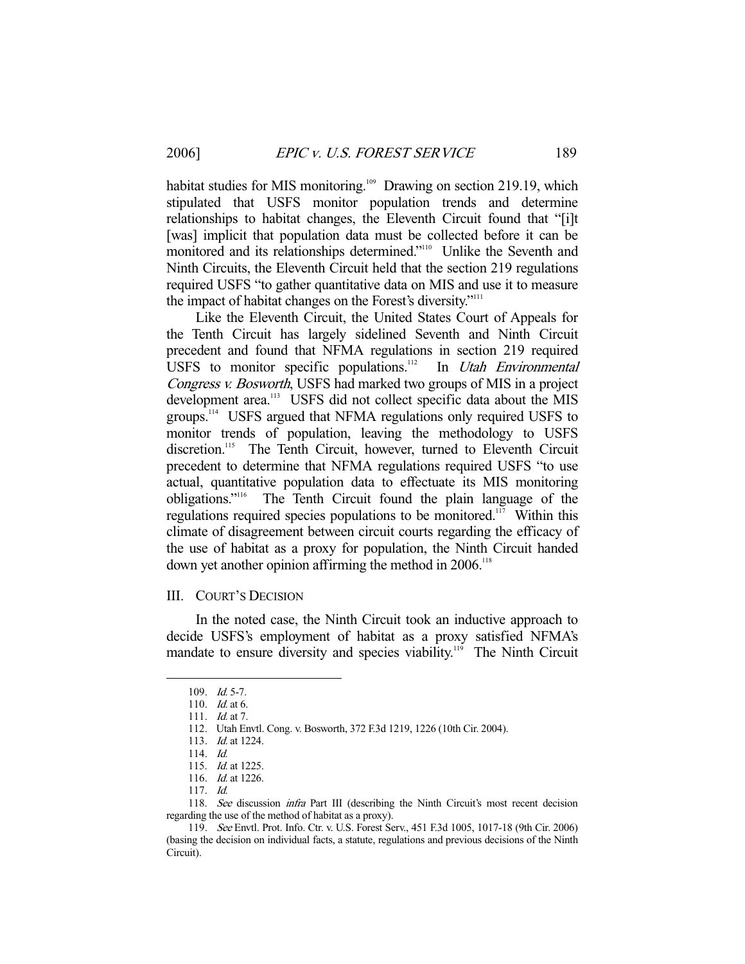habitat studies for MIS monitoring.<sup>109</sup> Drawing on section 219.19, which stipulated that USFS monitor population trends and determine relationships to habitat changes, the Eleventh Circuit found that "[i]t [was] implicit that population data must be collected before it can be monitored and its relationships determined."<sup>110</sup> Unlike the Seventh and Ninth Circuits, the Eleventh Circuit held that the section 219 regulations required USFS "to gather quantitative data on MIS and use it to measure the impact of habitat changes on the Forest's diversity."<sup>111</sup>

 Like the Eleventh Circuit, the United States Court of Appeals for the Tenth Circuit has largely sidelined Seventh and Ninth Circuit precedent and found that NFMA regulations in section 219 required USFS to monitor specific populations.<sup>112</sup> In *Utah Environmental* Congress v. Bosworth, USFS had marked two groups of MIS in a project development area.<sup>113</sup> USFS did not collect specific data about the MIS groups.114 USFS argued that NFMA regulations only required USFS to monitor trends of population, leaving the methodology to USFS discretion.<sup>115</sup> The Tenth Circuit, however, turned to Eleventh Circuit precedent to determine that NFMA regulations required USFS "to use actual, quantitative population data to effectuate its MIS monitoring obligations."116 The Tenth Circuit found the plain language of the regulations required species populations to be monitored.<sup>117</sup> Within this climate of disagreement between circuit courts regarding the efficacy of the use of habitat as a proxy for population, the Ninth Circuit handed down yet another opinion affirming the method in 2006.<sup>118</sup>

#### III. COURT'S DECISION

 In the noted case, the Ninth Circuit took an inductive approach to decide USFS's employment of habitat as a proxy satisfied NFMA's mandate to ensure diversity and species viability.<sup>119</sup> The Ninth Circuit

 <sup>109.</sup> Id. 5-7.

 <sup>110.</sup> Id. at 6.

<sup>111.</sup> *Id.* at 7.

 <sup>112.</sup> Utah Envtl. Cong. v. Bosworth, 372 F.3d 1219, 1226 (10th Cir. 2004).

 <sup>113.</sup> Id. at 1224.

 <sup>114.</sup> Id.

 <sup>115.</sup> Id. at 1225.

 <sup>116.</sup> Id. at 1226.

 <sup>117.</sup> Id.

<sup>118.</sup> See discussion *infra* Part III (describing the Ninth Circuit's most recent decision regarding the use of the method of habitat as a proxy).

 <sup>119.</sup> See Envtl. Prot. Info. Ctr. v. U.S. Forest Serv., 451 F.3d 1005, 1017-18 (9th Cir. 2006) (basing the decision on individual facts, a statute, regulations and previous decisions of the Ninth Circuit).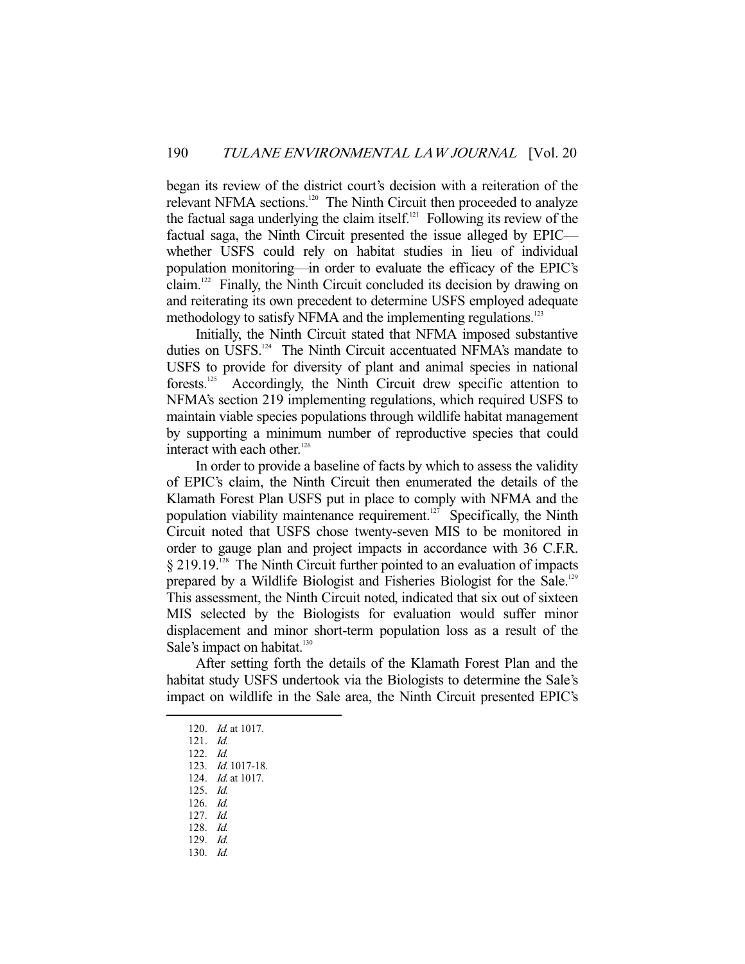began its review of the district court's decision with a reiteration of the relevant NFMA sections.<sup>120</sup> The Ninth Circuit then proceeded to analyze the factual saga underlying the claim itself. $121$  Following its review of the factual saga, the Ninth Circuit presented the issue alleged by EPIC whether USFS could rely on habitat studies in lieu of individual population monitoring—in order to evaluate the efficacy of the EPIC's claim.122 Finally, the Ninth Circuit concluded its decision by drawing on and reiterating its own precedent to determine USFS employed adequate methodology to satisfy NFMA and the implementing regulations.<sup>123</sup>

 Initially, the Ninth Circuit stated that NFMA imposed substantive duties on USFS.<sup>124</sup> The Ninth Circuit accentuated NFMA's mandate to USFS to provide for diversity of plant and animal species in national forests.125 Accordingly, the Ninth Circuit drew specific attention to NFMA's section 219 implementing regulations, which required USFS to maintain viable species populations through wildlife habitat management by supporting a minimum number of reproductive species that could interact with each other.<sup>126</sup>

 In order to provide a baseline of facts by which to assess the validity of EPIC's claim, the Ninth Circuit then enumerated the details of the Klamath Forest Plan USFS put in place to comply with NFMA and the population viability maintenance requirement.<sup>127</sup> Specifically, the Ninth Circuit noted that USFS chose twenty-seven MIS to be monitored in order to gauge plan and project impacts in accordance with 36 C.F.R.  $§$  219.19.<sup>128</sup> The Ninth Circuit further pointed to an evaluation of impacts prepared by a Wildlife Biologist and Fisheries Biologist for the Sale.<sup>129</sup> This assessment, the Ninth Circuit noted, indicated that six out of sixteen MIS selected by the Biologists for evaluation would suffer minor displacement and minor short-term population loss as a result of the Sale's impact on habitat.<sup>130</sup>

 After setting forth the details of the Klamath Forest Plan and the habitat study USFS undertook via the Biologists to determine the Sale's impact on wildlife in the Sale area, the Ninth Circuit presented EPIC's

- 125. Id.
- 126. Id. 127. Id.
- 128. Id.
- 129. Id.
- 130. Id.

 <sup>120.</sup> Id. at 1017.

 <sup>121.</sup> Id.

 <sup>122.</sup> Id.

 <sup>123.</sup> Id. 1017-18.

 <sup>124.</sup> Id. at 1017.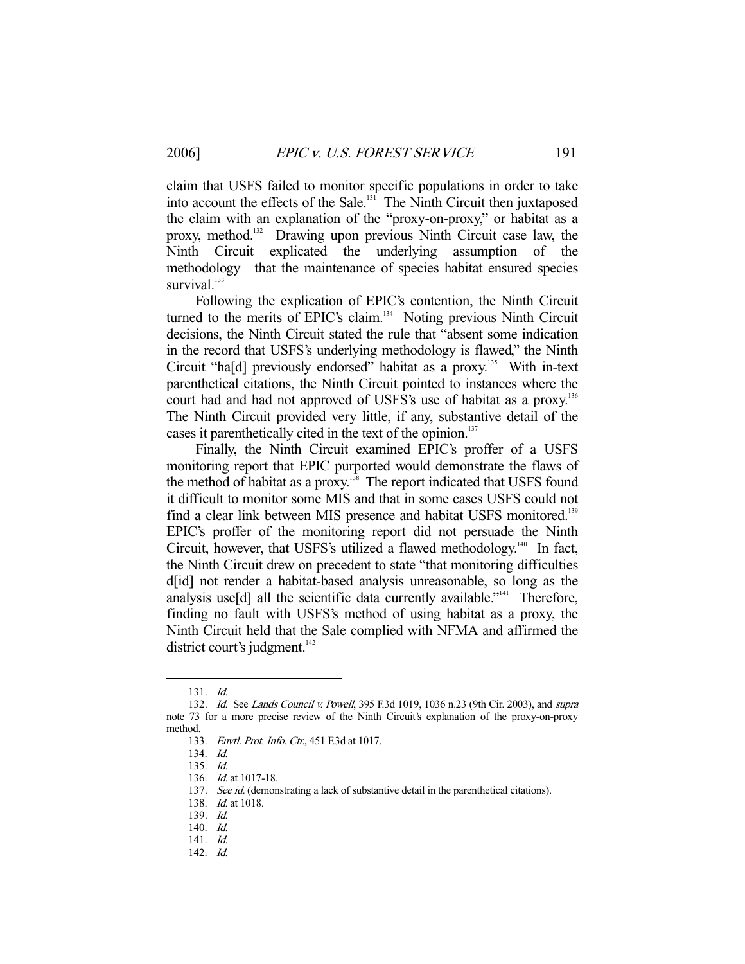claim that USFS failed to monitor specific populations in order to take into account the effects of the Sale.<sup>131</sup> The Ninth Circuit then juxtaposed the claim with an explanation of the "proxy-on-proxy," or habitat as a proxy, method.<sup>132</sup> Drawing upon previous Ninth Circuit case law, the Ninth Circuit explicated the underlying assumption of the methodology—that the maintenance of species habitat ensured species survival.<sup>133</sup>

 Following the explication of EPIC's contention, the Ninth Circuit turned to the merits of EPIC's claim.<sup>134</sup> Noting previous Ninth Circuit decisions, the Ninth Circuit stated the rule that "absent some indication in the record that USFS's underlying methodology is flawed," the Ninth Circuit "ha[d] previously endorsed" habitat as a proxy.<sup>135</sup> With in-text parenthetical citations, the Ninth Circuit pointed to instances where the court had and had not approved of USFS's use of habitat as a proxy.<sup>136</sup> The Ninth Circuit provided very little, if any, substantive detail of the cases it parenthetically cited in the text of the opinion.<sup>137</sup>

 Finally, the Ninth Circuit examined EPIC's proffer of a USFS monitoring report that EPIC purported would demonstrate the flaws of the method of habitat as a proxy.<sup>138</sup> The report indicated that USFS found it difficult to monitor some MIS and that in some cases USFS could not find a clear link between MIS presence and habitat USFS monitored.<sup>139</sup> EPIC's proffer of the monitoring report did not persuade the Ninth Circuit, however, that USFS's utilized a flawed methodology.<sup>140</sup> In fact, the Ninth Circuit drew on precedent to state "that monitoring difficulties d[id] not render a habitat-based analysis unreasonable, so long as the analysis use[d] all the scientific data currently available."<sup>141</sup> Therefore, finding no fault with USFS's method of using habitat as a proxy, the Ninth Circuit held that the Sale complied with NFMA and affirmed the district court's judgment. $142$ 

-

142. Id.

 <sup>131.</sup> Id.

<sup>132.</sup> Id. See Lands Council v. Powell, 395 F.3d 1019, 1036 n.23 (9th Cir. 2003), and supra note 73 for a more precise review of the Ninth Circuit's explanation of the proxy-on-proxy method.

<sup>133.</sup> Envtl. Prot. Info. Ctr., 451 F.3d at 1017.

 <sup>134.</sup> Id.

 <sup>135.</sup> Id.

 <sup>136.</sup> Id. at 1017-18.

<sup>137.</sup> See id. (demonstrating a lack of substantive detail in the parenthetical citations).

 <sup>138.</sup> Id. at 1018.

 <sup>139.</sup> Id.

 <sup>140.</sup> Id.

 <sup>141.</sup> Id.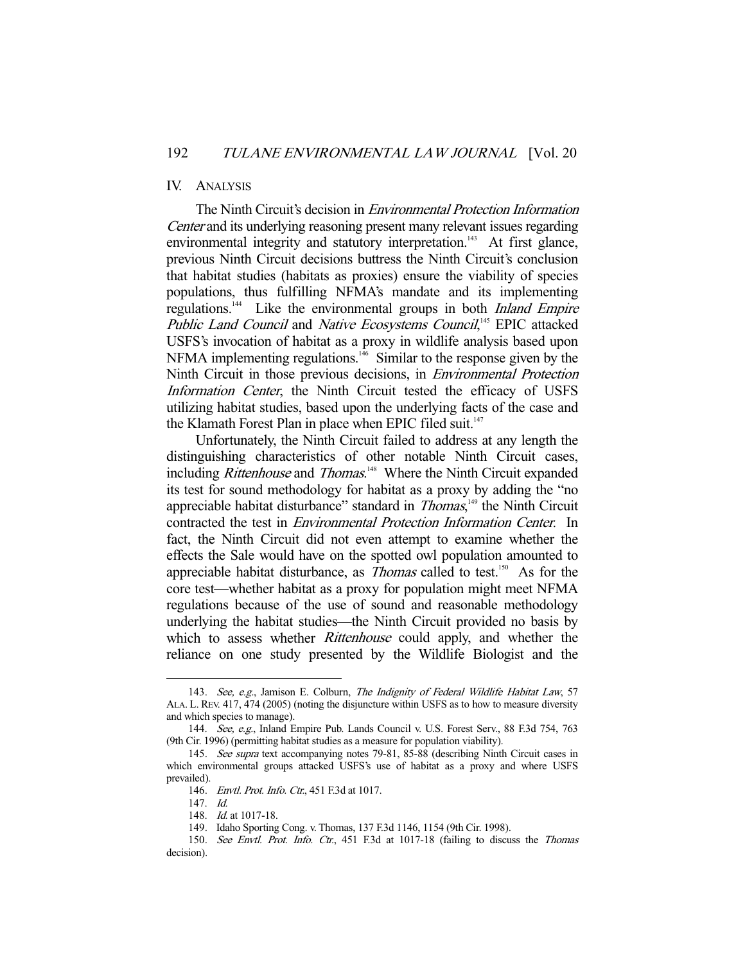#### IV. ANALYSIS

 The Ninth Circuit's decision in Environmental Protection Information Center and its underlying reasoning present many relevant issues regarding environmental integrity and statutory interpretation.<sup>143</sup> At first glance, previous Ninth Circuit decisions buttress the Ninth Circuit's conclusion that habitat studies (habitats as proxies) ensure the viability of species populations, thus fulfilling NFMA's mandate and its implementing regulations.<sup>144</sup> Like the environmental groups in both *Inland Empire* Public Land Council and Native Ecosystems Council,<sup>145</sup> EPIC attacked USFS's invocation of habitat as a proxy in wildlife analysis based upon NFMA implementing regulations.146 Similar to the response given by the Ninth Circuit in those previous decisions, in Environmental Protection Information Center, the Ninth Circuit tested the efficacy of USFS utilizing habitat studies, based upon the underlying facts of the case and the Klamath Forest Plan in place when EPIC filed suit. $147$ 

 Unfortunately, the Ninth Circuit failed to address at any length the distinguishing characteristics of other notable Ninth Circuit cases, including *Rittenhouse* and *Thomas*.<sup>148</sup> Where the Ninth Circuit expanded its test for sound methodology for habitat as a proxy by adding the "no appreciable habitat disturbance" standard in *Thomas*,<sup>149</sup> the Ninth Circuit contracted the test in Environmental Protection Information Center. In fact, the Ninth Circuit did not even attempt to examine whether the effects the Sale would have on the spotted owl population amounted to appreciable habitat disturbance, as  $\overline{Thomas}$  called to test.<sup>150</sup> As for the core test—whether habitat as a proxy for population might meet NFMA regulations because of the use of sound and reasonable methodology underlying the habitat studies—the Ninth Circuit provided no basis by which to assess whether *Rittenhouse* could apply, and whether the reliance on one study presented by the Wildlife Biologist and the

<sup>143.</sup> See, e.g., Jamison E. Colburn, The Indignity of Federal Wildlife Habitat Law, 57 ALA. L. REV. 417, 474 (2005) (noting the disjuncture within USFS as to how to measure diversity and which species to manage).

 <sup>144.</sup> See, e.g., Inland Empire Pub. Lands Council v. U.S. Forest Serv., 88 F.3d 754, 763 (9th Cir. 1996) (permitting habitat studies as a measure for population viability).

 <sup>145.</sup> See supra text accompanying notes 79-81, 85-88 (describing Ninth Circuit cases in which environmental groups attacked USFS's use of habitat as a proxy and where USFS prevailed).

<sup>146.</sup> Envtl. Prot. Info. Ctr., 451 F.3d at 1017.

 <sup>147.</sup> Id.

 <sup>148.</sup> Id. at 1017-18.

 <sup>149.</sup> Idaho Sporting Cong. v. Thomas, 137 F.3d 1146, 1154 (9th Cir. 1998).

<sup>150.</sup> See Envtl. Prot. Info. Ctr., 451 F.3d at 1017-18 (failing to discuss the Thomas decision).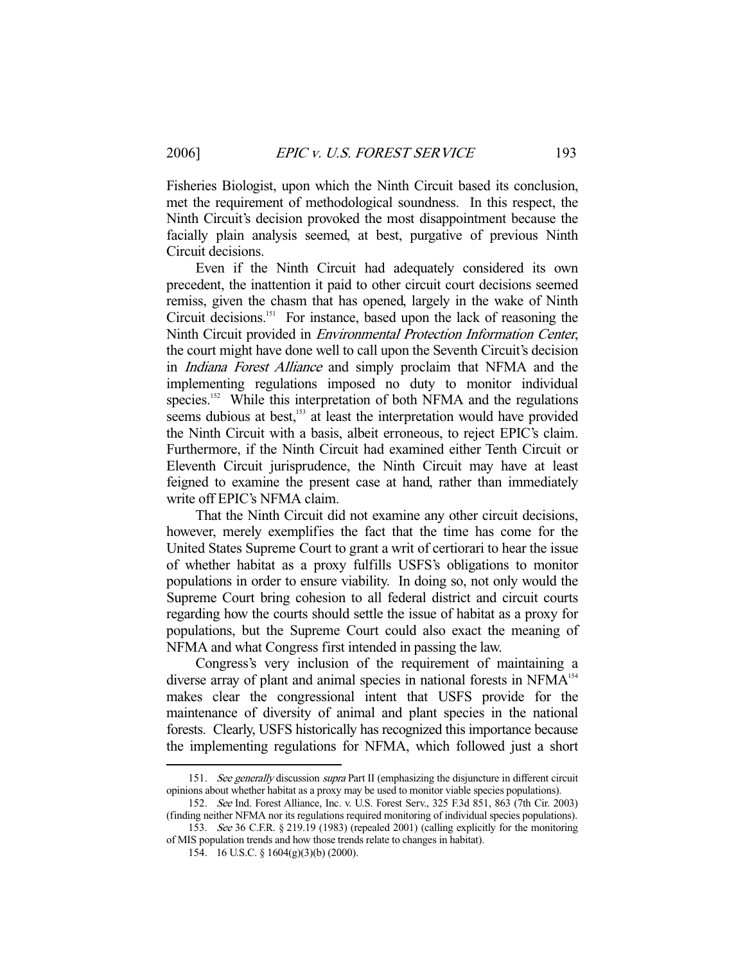Fisheries Biologist, upon which the Ninth Circuit based its conclusion, met the requirement of methodological soundness. In this respect, the Ninth Circuit's decision provoked the most disappointment because the facially plain analysis seemed, at best, purgative of previous Ninth Circuit decisions.

 Even if the Ninth Circuit had adequately considered its own precedent, the inattention it paid to other circuit court decisions seemed remiss, given the chasm that has opened, largely in the wake of Ninth Circuit decisions.<sup>151</sup> For instance, based upon the lack of reasoning the Ninth Circuit provided in Environmental Protection Information Center, the court might have done well to call upon the Seventh Circuit's decision in Indiana Forest Alliance and simply proclaim that NFMA and the implementing regulations imposed no duty to monitor individual species.<sup>152</sup> While this interpretation of both NFMA and the regulations seems dubious at best,<sup>153</sup> at least the interpretation would have provided the Ninth Circuit with a basis, albeit erroneous, to reject EPIC's claim. Furthermore, if the Ninth Circuit had examined either Tenth Circuit or Eleventh Circuit jurisprudence, the Ninth Circuit may have at least feigned to examine the present case at hand, rather than immediately write off EPIC's NFMA claim.

 That the Ninth Circuit did not examine any other circuit decisions, however, merely exemplifies the fact that the time has come for the United States Supreme Court to grant a writ of certiorari to hear the issue of whether habitat as a proxy fulfills USFS's obligations to monitor populations in order to ensure viability. In doing so, not only would the Supreme Court bring cohesion to all federal district and circuit courts regarding how the courts should settle the issue of habitat as a proxy for populations, but the Supreme Court could also exact the meaning of NFMA and what Congress first intended in passing the law.

 Congress's very inclusion of the requirement of maintaining a diverse array of plant and animal species in national forests in NFMA<sup>154</sup> makes clear the congressional intent that USFS provide for the maintenance of diversity of animal and plant species in the national forests. Clearly, USFS historically has recognized this importance because the implementing regulations for NFMA, which followed just a short

<sup>151.</sup> See generally discussion supra Part II (emphasizing the disjuncture in different circuit opinions about whether habitat as a proxy may be used to monitor viable species populations).

 <sup>152.</sup> See Ind. Forest Alliance, Inc. v. U.S. Forest Serv., 325 F.3d 851, 863 (7th Cir. 2003) (finding neither NFMA nor its regulations required monitoring of individual species populations).

 <sup>153.</sup> See 36 C.F.R. § 219.19 (1983) (repealed 2001) (calling explicitly for the monitoring of MIS population trends and how those trends relate to changes in habitat).

 <sup>154. 16</sup> U.S.C. § 1604(g)(3)(b) (2000).